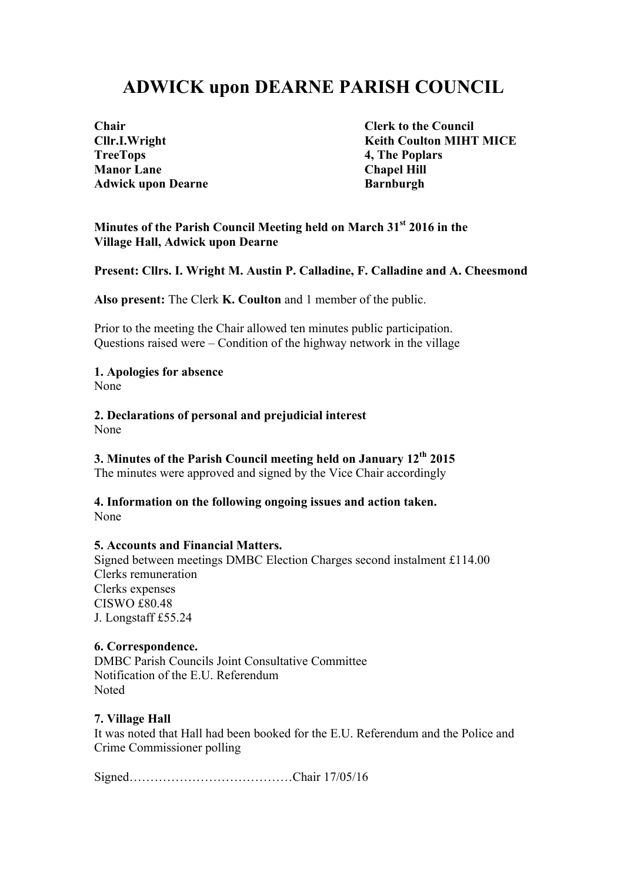# **ADWICK upon DEARNE PARISH COUNCIL**

**TreeTops 4, The Poplars Manor Lane Chapel Hill** Adwick upon Dearne **Barnburgh** 

**Chair Clerk to the Council Cllr.I.Wright Keith Coulton MIHT MICE** 

#### **Minutes of the Parish Council Meeting held on March 31st 2016 in the Village Hall, Adwick upon Dearne**

**Present: Cllrs. I. Wright M. Austin P. Calladine, F. Calladine and A. Cheesmond**

**Also present:** The Clerk **K. Coulton** and 1 member of the public.

Prior to the meeting the Chair allowed ten minutes public participation. Questions raised were – Condition of the highway network in the village

#### **1. Apologies for absence**

None

**2. Declarations of personal and prejudicial interest** None

## **3. Minutes of the Parish Council meeting held on January 12th 2015**

The minutes were approved and signed by the Vice Chair accordingly

#### **4. Information on the following ongoing issues and action taken.** None

#### **5. Accounts and Financial Matters.**

Signed between meetings DMBC Election Charges second instalment £114.00 Clerks remuneration Clerks expenses CISWO £80.48 J. Longstaff £55.24

#### **6. Correspondence.**

DMBC Parish Councils Joint Consultative Committee Notification of the E.U. Referendum Noted

#### **7. Village Hall**

It was noted that Hall had been booked for the E.U. Referendum and the Police and Crime Commissioner polling

Signed…………………………………Chair 17/05/16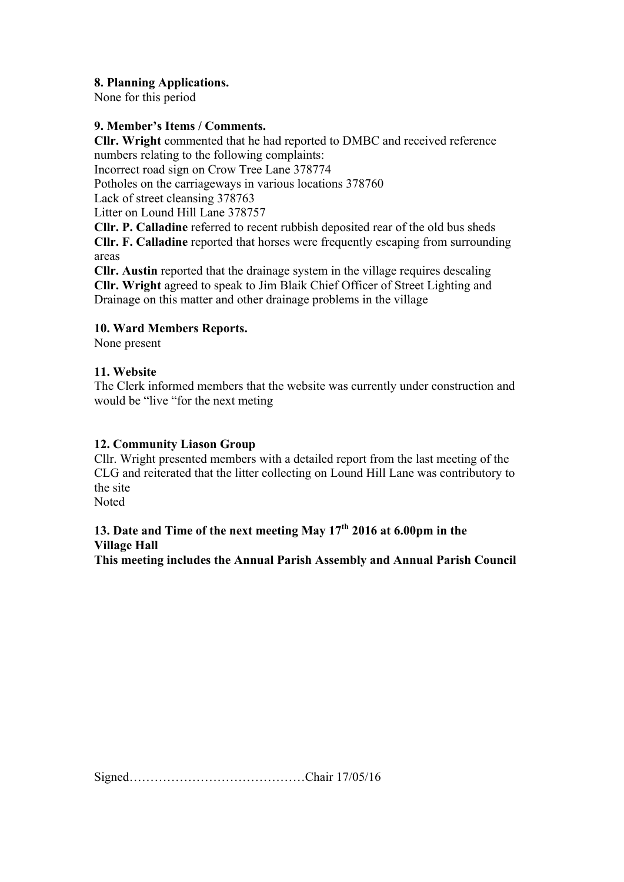#### **8. Planning Applications.**

None for this period

#### **9. Member's Items / Comments.**

**Cllr. Wright** commented that he had reported to DMBC and received reference numbers relating to the following complaints:

Incorrect road sign on Crow Tree Lane 378774

Potholes on the carriageways in various locations 378760

Lack of street cleansing 378763

Litter on Lound Hill Lane 378757

**Cllr. P. Calladine** referred to recent rubbish deposited rear of the old bus sheds

**Cllr. F. Calladine** reported that horses were frequently escaping from surrounding areas

**Cllr. Austin** reported that the drainage system in the village requires descaling **Cllr. Wright** agreed to speak to Jim Blaik Chief Officer of Street Lighting and Drainage on this matter and other drainage problems in the village

## **10. Ward Members Reports.**

None present

## **11. Website**

The Clerk informed members that the website was currently under construction and would be "live "for the next meting"

#### **12. Community Liason Group**

Cllr. Wright presented members with a detailed report from the last meeting of the CLG and reiterated that the litter collecting on Lound Hill Lane was contributory to the site Noted

# **13. Date and Time of the next meeting May 17th 2016 at 6.00pm in the Village Hall**

**This meeting includes the Annual Parish Assembly and Annual Parish Council**

Signed……………………………………Chair 17/05/16